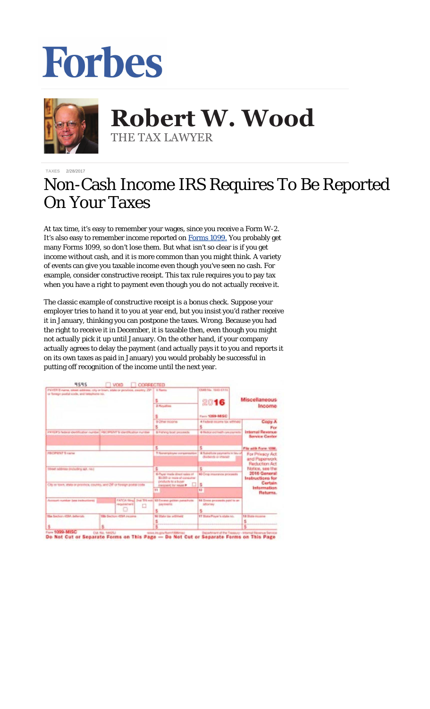## Forbes



**Robert W. Wood Robert W. Wood** THE TAX LAWYER THE TAX LAWYER

**[TAXES](https://www.forbes.com/taxes)** 2/28/2017

## Non-Cash Income IRS Requires To Be Reported On Your Taxes

At tax time, it's easy to remember your wages, since you receive a Form W-2. It's also easy to remember income reported on [Forms 1099.](http://www.forbes.com/sites/robertwood/2016/01/27/missing-an-irs-form-1099-for-your-taxes-keep-quiet-dont-ask/) You probably get many Forms 1099, so don't lose them. But what isn't so clear is if you get income *without* cash, and it is more common than you might think. A variety of events can give you taxable income even though you've seen no cash. For example, consider constructive receipt. This tax rule requires you to pay tax when you have a right to payment even though you do not actually receive it.

The classic example of constructive receipt is a bonus check. Suppose your employer tries to hand it to you at year end, but you insist you'd rather receive it in January, thinking you can postpone the taxes. Wrong. Because you had the right to receive it in December, it is taxable then, even though you might not actually pick it up until January. On the other hand, if your company actually agrees to delay the payment (and actually pays it to you and reports it on its own taxes as paid in January) you would probably be successful in putting off recognition of the income until the next year.

| FWYER'S came, single address, city or lown, state or provide, escalay, 291   4 Rents<br>or favours postal code, and temphone no. |                                                | s.                                                                                | CMB No. 1943-6115<br>2016                                  | <b>Miscellaneous</b>                                                                                                                              |
|----------------------------------------------------------------------------------------------------------------------------------|------------------------------------------------|-----------------------------------------------------------------------------------|------------------------------------------------------------|---------------------------------------------------------------------------------------------------------------------------------------------------|
|                                                                                                                                  |                                                | 2. No salima                                                                      | Income<br>Farm 1099-985C                                   |                                                                                                                                                   |
|                                                                                                                                  |                                                | <b>B-Other Income</b>                                                             | 4-Technol Income tax withheld<br>s.                        | Copy A<br>Pice                                                                                                                                    |
| PRYER'S federal shedification riundae) PBCIPS/VT'S soundhoation number                                                           |                                                | \$14 lating boat proceeds.                                                        | 6 Religion profits all from course to                      | <b>Internal Reverse</b><br><b>Service Center</b>                                                                                                  |
|                                                                                                                                  |                                                | s                                                                                 | s.                                                         | File with Form 1006.                                                                                                                              |
| PECIPIENT'S native                                                                                                               |                                                | 7 <i>Teamergalizes</i> compensation                                               | & Suindfishe payments in lieu of<br>dividends or interest: | For Principy Act.<br>and Paperwork<br>Recluction Act<br>Notice, see the<br>2016 General<br>Instructions for<br>Certain<br>Information<br>Returna. |
| Street address (including as), no.3<br>City or lows, shale or province, country, and 24" or foreign postal code.                 |                                                |                                                                                   |                                                            |                                                                                                                                                   |
|                                                                                                                                  |                                                | C-Paper made shurt sales of<br>\$1,000 or ware of consumer<br>products to a buser | 40 Grog insurance processits                               |                                                                                                                                                   |
|                                                                                                                                  |                                                | instrument for resume & [10]                                                      | $\mathbf{S}$                                               |                                                                                                                                                   |
|                                                                                                                                  |                                                | 11                                                                                | <b>KS</b>                                                  |                                                                                                                                                   |
| Account number lase inclusions)                                                                                                  | FATCA Since 2nd TR was<br>Pediatricity of<br>O | <b>U. Faceso golder-sanachung</b><br><b>Jule Image 12</b>                         | 14 Grens proceeds paid to an<br><b>Milleling</b><br>s.     |                                                                                                                                                   |
| His Sachon (CSA Salarish)                                                                                                        | <b>135 Section 42MA pagers</b>                 | 10 State too withheld                                                             | IT State Payer's state rid.                                | 18 State Attacker                                                                                                                                 |
|                                                                                                                                  |                                                |                                                                                   |                                                            |                                                                                                                                                   |

De Not Cut or Separate Forms on This Page - Do Not Cut or Separate Forms on This Page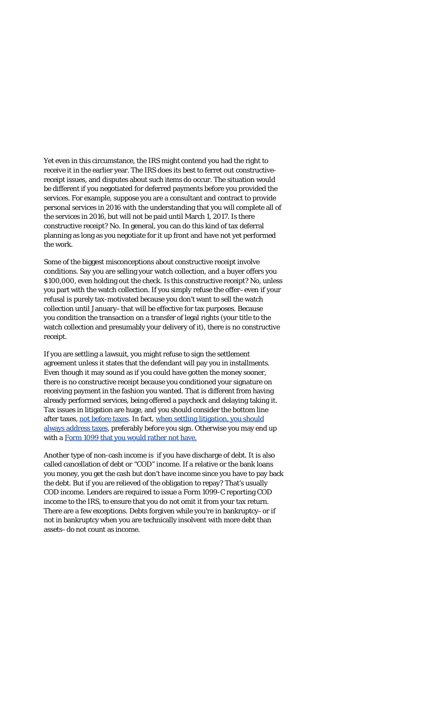Yet even in this circumstance, the IRS might contend you had the right to receive it in the earlier year. The IRS does its best to ferret out constructivereceipt issues, and disputes about such items do occur. The situation would be different if you negotiated for deferred payments before you provided the services. For example, suppose you are a consultant and contract to provide personal services in 2016 with the understanding that you will complete all of the services in 2016, but will not be paid until March 1, 2017. Is there constructive receipt? No. In general, you can do this kind of tax deferral planning as long as you negotiate for it up front and have not yet performed the work.

Some of the biggest misconceptions about constructive receipt involve conditions. Say you are selling your watch collection, and a buyer offers you \$100,000, even holding out the check. Is this constructive receipt? No, unless you part with the watch collection. If you simply refuse the offer–even if your refusal is purely tax-motivated because you don't want to sell the watch collection until January–that will be effective for tax purposes. Because you condition the transaction on a transfer of legal rights (your title to the watch collection and presumably your delivery of it), there is no constructive receipt.

If you are settling a lawsuit, you might refuse to sign the settlement agreement unless it states that the defendant will pay you in installments. Even though it may *sound* as if you could have gotten the money sooner, there is no constructive receipt because you conditioned your signature on receiving payment in the fashion you wanted. That is different from having already performed services, being offered a paycheck and delaying taking it. Tax issues in litigation are huge, and you should consider the bottom line after taxes, [not before taxes.](http://www.forbes.com/sites/robertwood/2014/07/10/la-dodgers-draw-18-million-verdict-in-fan-beating-case-before-taxes/) In fact, [when settling litigation, you should](http://www.forbes.com/sites/robertwood/2012/05/17/when-settling-litigation-always-address-taxes/) [always address taxes](http://www.forbes.com/sites/robertwood/2012/05/17/when-settling-litigation-always-address-taxes/), preferably *before* you sign. Otherwise you may end up with a Form 1099 [that you would rather not have.](http://www.forbes.com/sites/robertwood/2016/01/27/missing-an-irs-form-1099-for-your-taxes-keep-quiet-dont-ask/)

Another type of non-cash income is if you have discharge of debt. It is also called cancellation of debt or "COD" income. If a relative or the bank loans you money, you get the cash but don't have income since you have to pay back the debt. But if you are relieved of the obligation to repay? That's usually COD income. Lenders are required to issue a Form 1099-C reporting COD income to the IRS, to ensure that you do not omit it from your tax return. There are a few exceptions. Debts forgiven while you're in bankruptcy–or if not in bankruptcy when you are technically insolvent with more debt than assets–do not count as income.